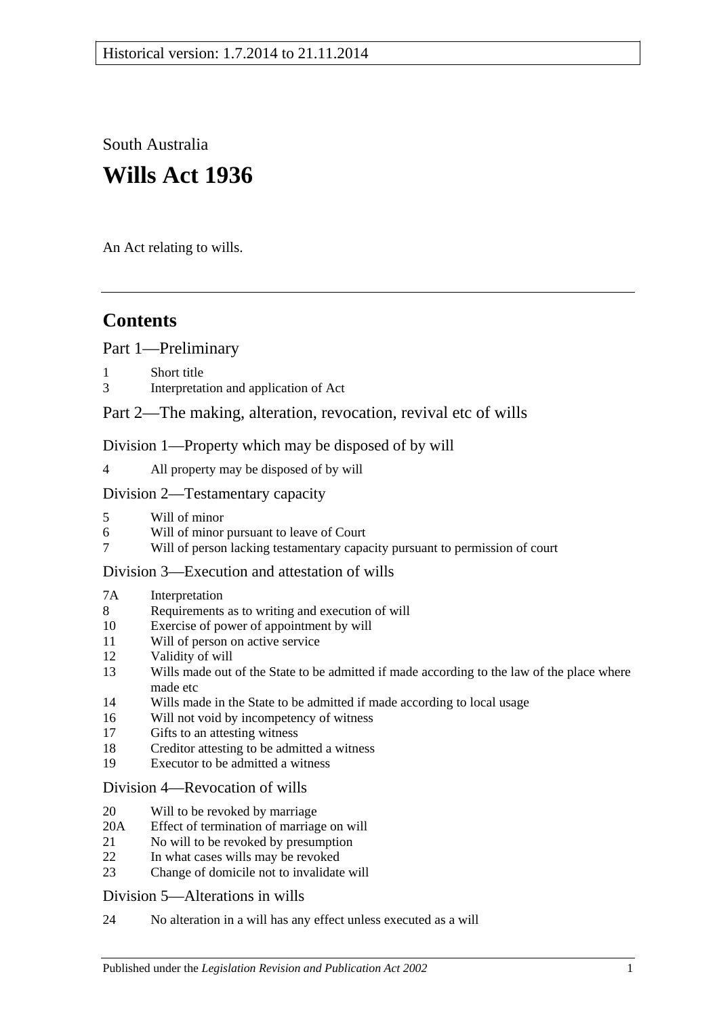South Australia **Wills Act 1936**

An Act relating to wills.

# **Contents**

[Part 1—Preliminary](#page-1-0)

- [Short title](#page-1-1)
- 3 [Interpretation and application of Act](#page-1-2)

# [Part 2—The making, alteration, revocation, revival etc of wills](#page-2-0)

[Division 1—Property which may be disposed of by will](#page-2-1)

4 [All property may be disposed of by will](#page-2-2)

## [Division 2—Testamentary capacity](#page-3-0)

- 5 [Will of minor](#page-3-1)
- 6 [Will of minor pursuant to leave of Court](#page-3-2)<br>7 Will of person lacking testamentary capa
- 7 [Will of person lacking testamentary capacity pursuant to permission of court](#page-3-3)

# [Division 3—Execution and attestation of wills](#page-5-0)

#### 7A [Interpretation](#page-5-1)

- 8 [Requirements as to writing and execution of will](#page-5-2)
- 10 [Exercise of power of appointment by will](#page-6-0)
- 11 [Will of person on active service](#page-6-1)
- 12 [Validity of will](#page-6-2)
- 13 [Wills made out of the State to be admitted if made according to the law of the place where](#page-7-0)  [made etc](#page-7-0)
- 14 [Wills made in the State to be admitted if made according to local usage](#page-7-1)
- 16 [Will not void by incompetency of witness](#page-7-2)
- 17 [Gifts to an attesting witness](#page-7-3)
- 18 [Creditor attesting to be admitted a witness](#page-7-4)
- 19 [Executor to be admitted a witness](#page-7-5)

## [Division 4—Revocation of wills](#page-7-6)

- 20 [Will to be revoked by marriage](#page-7-7)
- 20A [Effect of termination of marriage on will](#page-8-0)
- 21 [No will to be revoked by presumption](#page-9-0)
- 22 [In what cases wills may be revoked](#page-9-1)
- 23 [Change of domicile not to invalidate will](#page-9-2)

## [Division 5—Alterations in wills](#page-9-3)

24 [No alteration in a will has any effect unless executed as a will](#page-9-4)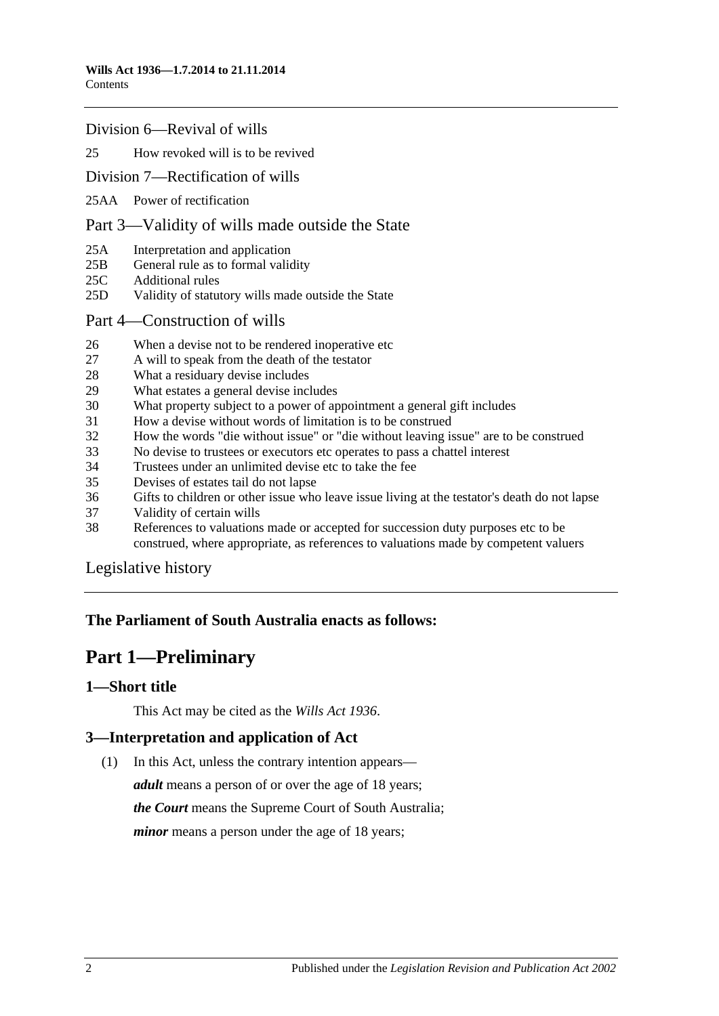#### [Division 6—Revival of wills](#page-9-5)

#### 25 [How revoked will is to be revived](#page-9-6)

#### [Division 7—Rectification of wills](#page-10-0)

25AA [Power of rectification](#page-10-1)

#### [Part 3—Validity of wills made outside the State](#page-10-2)

- 25A [Interpretation and application](#page-10-3)
- 25B [General rule as to formal validity](#page-11-0)
- 25C [Additional rules](#page-11-1)
- 25D [Validity of statutory wills made outside the State](#page-11-2)
- [Part 4—Construction of wills](#page-12-0)
- 26 [When a devise not to be rendered inoperative etc](#page-12-1)
- 27 [A will to speak from the death of the testator](#page-12-2)
- 28 [What a residuary devise includes](#page-12-3)
- 29 [What estates a general devise includes](#page-12-4)
- 30 [What property subject to a power of appointment a general gift includes](#page-12-5)
- 31 [How a devise without words of limitation is to be construed](#page-13-0)
- 32 [How the words "die without issue" or "die without leaving issue" are to be construed](#page-13-1)
- 33 [No devise to trustees or executors etc operates to pass a chattel interest](#page-13-2)
- 34 [Trustees under an unlimited devise etc to take the fee](#page-13-3)
- 35 [Devises of estates tail do not lapse](#page-13-4)
- 36 [Gifts to children or other issue who leave issue living at the testator's death do not lapse](#page-14-0)
- 37 [Validity of certain wills](#page-14-1)
- 38 [References to valuations made or accepted for succession duty purposes etc to be](#page-14-2)  [construed, where appropriate, as references to valuations made by competent valuers](#page-14-2)

[Legislative history](#page-15-0)

# <span id="page-1-0"></span>**The Parliament of South Australia enacts as follows:**

# **Part 1—Preliminary**

#### <span id="page-1-1"></span>**1—Short title**

This Act may be cited as the *Wills Act 1936*.

## <span id="page-1-2"></span>**3—Interpretation and application of Act**

(1) In this Act, unless the contrary intention appears—

*adult* means a person of or over the age of 18 years; *the Court* means the Supreme Court of South Australia; *minor* means a person under the age of 18 years;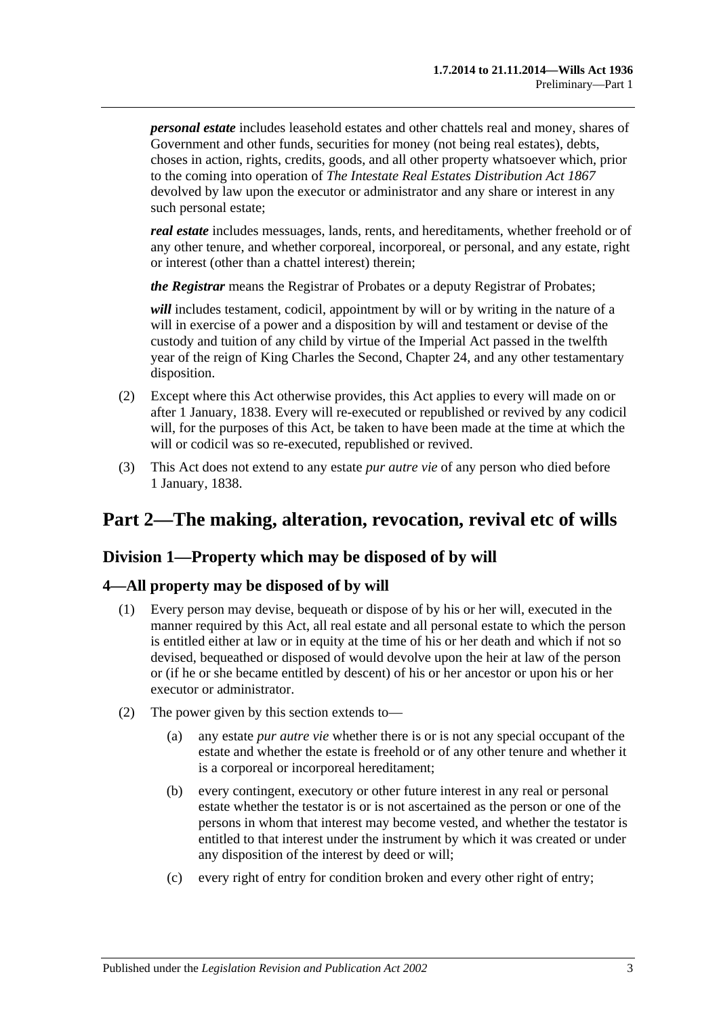*personal estate* includes leasehold estates and other chattels real and money, shares of Government and other funds, securities for money (not being real estates), debts, choses in action, rights, credits, goods, and all other property whatsoever which, prior to the coming into operation of *[The Intestate Real Estates Distribution Act](http://www.legislation.sa.gov.au/index.aspx?action=legref&type=act&legtitle=The%20Intestate%20Real%20Estates%20Distribution%20Act%201867) 1867* devolved by law upon the executor or administrator and any share or interest in any such personal estate;

*real estate* includes messuages, lands, rents, and hereditaments, whether freehold or of any other tenure, and whether corporeal, incorporeal, or personal, and any estate, right or interest (other than a chattel interest) therein;

*the Registrar* means the Registrar of Probates or a deputy Registrar of Probates;

*will* includes testament, codicil, appointment by will or by writing in the nature of a will in exercise of a power and a disposition by will and testament or devise of the custody and tuition of any child by virtue of the Imperial Act passed in the twelfth year of the reign of King Charles the Second, Chapter 24, and any other testamentary disposition.

- (2) Except where this Act otherwise provides, this Act applies to every will made on or after 1 January, 1838. Every will re-executed or republished or revived by any codicil will, for the purposes of this Act, be taken to have been made at the time at which the will or codicil was so re-executed, republished or revived.
- (3) This Act does not extend to any estate *pur autre vie* of any person who died before 1 January, 1838.

# <span id="page-2-0"></span>**Part 2—The making, alteration, revocation, revival etc of wills**

# <span id="page-2-1"></span>**Division 1—Property which may be disposed of by will**

## <span id="page-2-2"></span>**4—All property may be disposed of by will**

- (1) Every person may devise, bequeath or dispose of by his or her will, executed in the manner required by this Act, all real estate and all personal estate to which the person is entitled either at law or in equity at the time of his or her death and which if not so devised, bequeathed or disposed of would devolve upon the heir at law of the person or (if he or she became entitled by descent) of his or her ancestor or upon his or her executor or administrator.
- (2) The power given by this section extends to—
	- (a) any estate *pur autre vie* whether there is or is not any special occupant of the estate and whether the estate is freehold or of any other tenure and whether it is a corporeal or incorporeal hereditament;
	- (b) every contingent, executory or other future interest in any real or personal estate whether the testator is or is not ascertained as the person or one of the persons in whom that interest may become vested, and whether the testator is entitled to that interest under the instrument by which it was created or under any disposition of the interest by deed or will;
	- (c) every right of entry for condition broken and every other right of entry;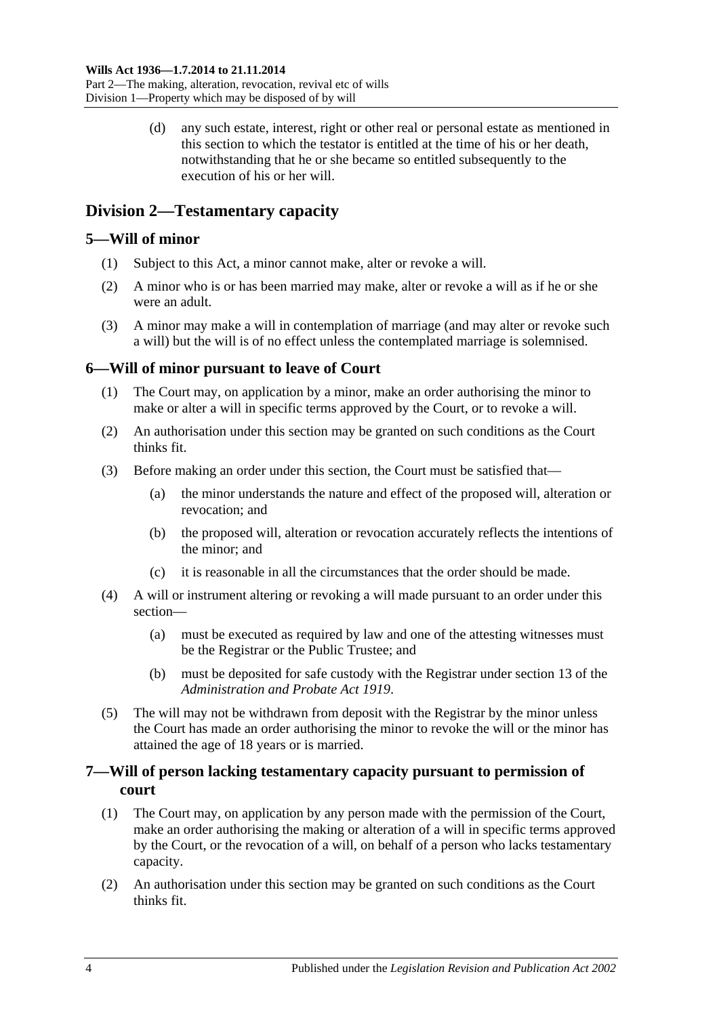(d) any such estate, interest, right or other real or personal estate as mentioned in this section to which the testator is entitled at the time of his or her death, notwithstanding that he or she became so entitled subsequently to the execution of his or her will.

# <span id="page-3-0"></span>**Division 2—Testamentary capacity**

# <span id="page-3-1"></span>**5—Will of minor**

- (1) Subject to this Act, a minor cannot make, alter or revoke a will.
- (2) A minor who is or has been married may make, alter or revoke a will as if he or she were an adult.
- (3) A minor may make a will in contemplation of marriage (and may alter or revoke such a will) but the will is of no effect unless the contemplated marriage is solemnised.

# <span id="page-3-2"></span>**6—Will of minor pursuant to leave of Court**

- (1) The Court may, on application by a minor, make an order authorising the minor to make or alter a will in specific terms approved by the Court, or to revoke a will.
- (2) An authorisation under this section may be granted on such conditions as the Court thinks fit.
- (3) Before making an order under this section, the Court must be satisfied that—
	- (a) the minor understands the nature and effect of the proposed will, alteration or revocation; and
	- (b) the proposed will, alteration or revocation accurately reflects the intentions of the minor; and
	- (c) it is reasonable in all the circumstances that the order should be made.
- (4) A will or instrument altering or revoking a will made pursuant to an order under this section—
	- (a) must be executed as required by law and one of the attesting witnesses must be the Registrar or the Public Trustee; and
	- (b) must be deposited for safe custody with the Registrar under section 13 of the *[Administration and Probate Act](http://www.legislation.sa.gov.au/index.aspx?action=legref&type=act&legtitle=Administration%20and%20Probate%20Act%201919) 1919*.
- (5) The will may not be withdrawn from deposit with the Registrar by the minor unless the Court has made an order authorising the minor to revoke the will or the minor has attained the age of 18 years or is married.

# <span id="page-3-3"></span>**7—Will of person lacking testamentary capacity pursuant to permission of court**

- (1) The Court may, on application by any person made with the permission of the Court, make an order authorising the making or alteration of a will in specific terms approved by the Court, or the revocation of a will, on behalf of a person who lacks testamentary capacity.
- (2) An authorisation under this section may be granted on such conditions as the Court thinks fit.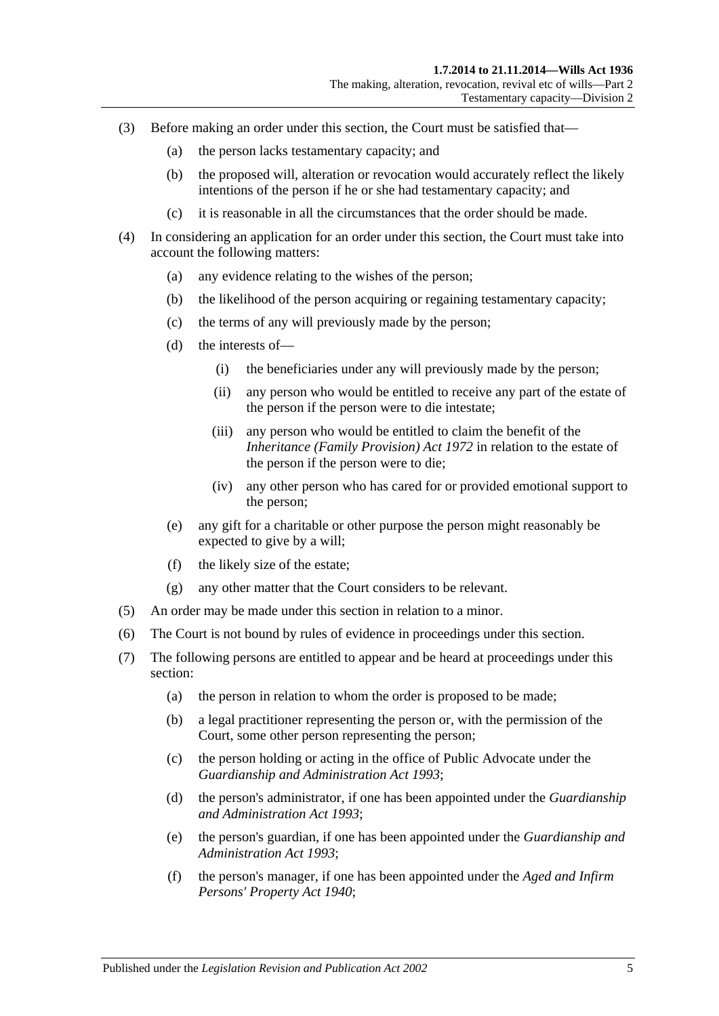- (3) Before making an order under this section, the Court must be satisfied that—
	- (a) the person lacks testamentary capacity; and
	- (b) the proposed will, alteration or revocation would accurately reflect the likely intentions of the person if he or she had testamentary capacity; and
	- (c) it is reasonable in all the circumstances that the order should be made.
- (4) In considering an application for an order under this section, the Court must take into account the following matters:
	- (a) any evidence relating to the wishes of the person;
	- (b) the likelihood of the person acquiring or regaining testamentary capacity;
	- (c) the terms of any will previously made by the person;
	- (d) the interests of—
		- (i) the beneficiaries under any will previously made by the person;
		- (ii) any person who would be entitled to receive any part of the estate of the person if the person were to die intestate;
		- (iii) any person who would be entitled to claim the benefit of the *[Inheritance \(Family Provision\) Act](http://www.legislation.sa.gov.au/index.aspx?action=legref&type=act&legtitle=Inheritance%20(Family%20Provision)%20Act%201972) 1972* in relation to the estate of the person if the person were to die;
		- (iv) any other person who has cared for or provided emotional support to the person;
	- (e) any gift for a charitable or other purpose the person might reasonably be expected to give by a will;
	- (f) the likely size of the estate;
	- (g) any other matter that the Court considers to be relevant.
- (5) An order may be made under this section in relation to a minor.
- (6) The Court is not bound by rules of evidence in proceedings under this section.
- (7) The following persons are entitled to appear and be heard at proceedings under this section:
	- (a) the person in relation to whom the order is proposed to be made;
	- (b) a legal practitioner representing the person or, with the permission of the Court, some other person representing the person;
	- (c) the person holding or acting in the office of Public Advocate under the *[Guardianship and Administration Act](http://www.legislation.sa.gov.au/index.aspx?action=legref&type=act&legtitle=Guardianship%20and%20Administration%20Act%201993) 1993*;
	- (d) the person's administrator, if one has been appointed under the *[Guardianship](http://www.legislation.sa.gov.au/index.aspx?action=legref&type=act&legtitle=Guardianship%20and%20Administration%20Act%201993)  [and Administration Act](http://www.legislation.sa.gov.au/index.aspx?action=legref&type=act&legtitle=Guardianship%20and%20Administration%20Act%201993) 1993*;
	- (e) the person's guardian, if one has been appointed under the *[Guardianship and](http://www.legislation.sa.gov.au/index.aspx?action=legref&type=act&legtitle=Guardianship%20and%20Administration%20Act%201993)  [Administration Act](http://www.legislation.sa.gov.au/index.aspx?action=legref&type=act&legtitle=Guardianship%20and%20Administration%20Act%201993) 1993*;
	- (f) the person's manager, if one has been appointed under the *[Aged and Infirm](http://www.legislation.sa.gov.au/index.aspx?action=legref&type=act&legtitle=Aged%20and%20Infirm%20Persons%20Property%20Act%201940)  [Persons' Property Act](http://www.legislation.sa.gov.au/index.aspx?action=legref&type=act&legtitle=Aged%20and%20Infirm%20Persons%20Property%20Act%201940) 1940*;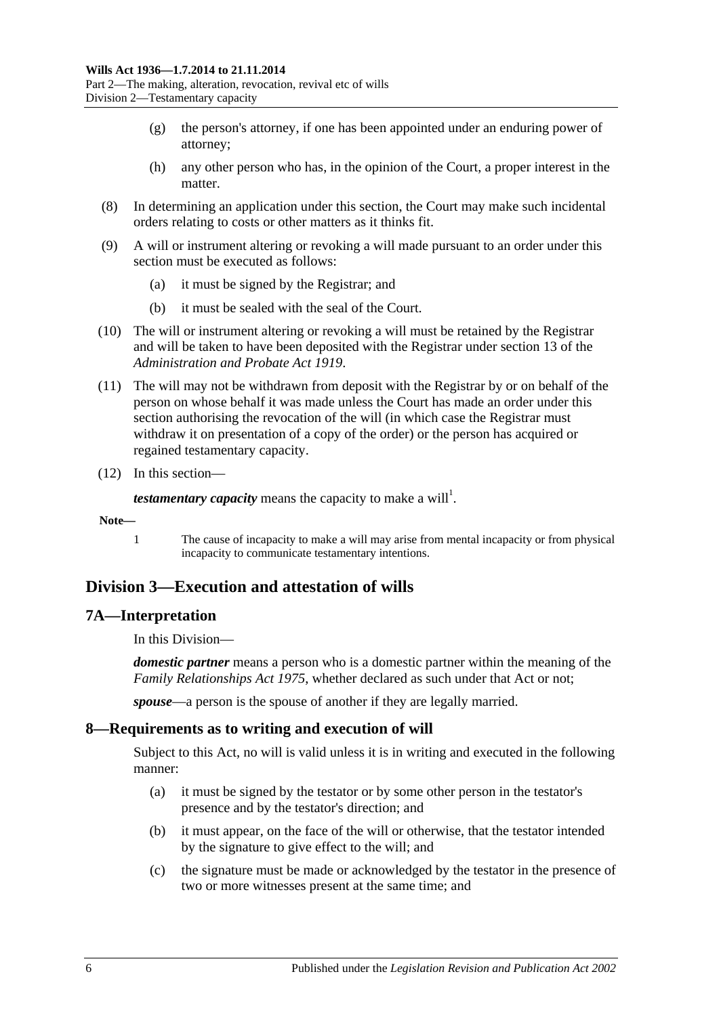- (g) the person's attorney, if one has been appointed under an enduring power of attorney;
- (h) any other person who has, in the opinion of the Court, a proper interest in the matter.
- (8) In determining an application under this section, the Court may make such incidental orders relating to costs or other matters as it thinks fit.
- (9) A will or instrument altering or revoking a will made pursuant to an order under this section must be executed as follows:
	- (a) it must be signed by the Registrar; and
	- (b) it must be sealed with the seal of the Court.
- (10) The will or instrument altering or revoking a will must be retained by the Registrar and will be taken to have been deposited with the Registrar under section 13 of the *[Administration and Probate Act](http://www.legislation.sa.gov.au/index.aspx?action=legref&type=act&legtitle=Administration%20and%20Probate%20Act%201919) 1919*.
- (11) The will may not be withdrawn from deposit with the Registrar by or on behalf of the person on whose behalf it was made unless the Court has made an order under this section authorising the revocation of the will (in which case the Registrar must withdraw it on presentation of a copy of the order) or the person has acquired or regained testamentary capacity.
- (12) In this section—

*testamentary capacity* means the capacity to make a will<sup>1</sup>.

#### **Note—**

1 The cause of incapacity to make a will may arise from mental incapacity or from physical incapacity to communicate testamentary intentions.

# <span id="page-5-0"></span>**Division 3—Execution and attestation of wills**

#### <span id="page-5-1"></span>**7A—Interpretation**

In this Division—

*domestic partner* means a person who is a domestic partner within the meaning of the *[Family Relationships Act](http://www.legislation.sa.gov.au/index.aspx?action=legref&type=act&legtitle=Family%20Relationships%20Act%201975) 1975*, whether declared as such under that Act or not;

*spouse*—a person is the spouse of another if they are legally married.

## <span id="page-5-2"></span>**8—Requirements as to writing and execution of will**

Subject to this Act, no will is valid unless it is in writing and executed in the following manner:

- (a) it must be signed by the testator or by some other person in the testator's presence and by the testator's direction; and
- (b) it must appear, on the face of the will or otherwise, that the testator intended by the signature to give effect to the will; and
- (c) the signature must be made or acknowledged by the testator in the presence of two or more witnesses present at the same time; and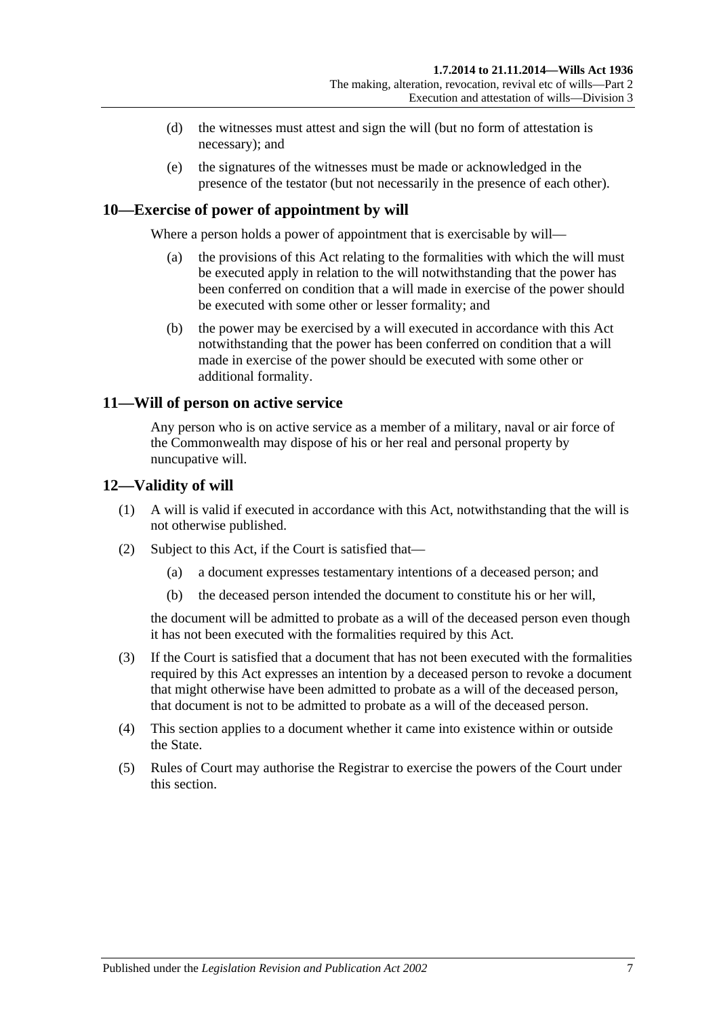- (d) the witnesses must attest and sign the will (but no form of attestation is necessary); and
- (e) the signatures of the witnesses must be made or acknowledged in the presence of the testator (but not necessarily in the presence of each other).

# <span id="page-6-0"></span>**10—Exercise of power of appointment by will**

Where a person holds a power of appointment that is exercisable by will—

- (a) the provisions of this Act relating to the formalities with which the will must be executed apply in relation to the will notwithstanding that the power has been conferred on condition that a will made in exercise of the power should be executed with some other or lesser formality; and
- (b) the power may be exercised by a will executed in accordance with this Act notwithstanding that the power has been conferred on condition that a will made in exercise of the power should be executed with some other or additional formality.

#### <span id="page-6-1"></span>**11—Will of person on active service**

Any person who is on active service as a member of a military, naval or air force of the Commonwealth may dispose of his or her real and personal property by nuncupative will.

#### <span id="page-6-2"></span>**12—Validity of will**

- (1) A will is valid if executed in accordance with this Act, notwithstanding that the will is not otherwise published.
- (2) Subject to this Act, if the Court is satisfied that—
	- (a) a document expresses testamentary intentions of a deceased person; and
	- (b) the deceased person intended the document to constitute his or her will,

the document will be admitted to probate as a will of the deceased person even though it has not been executed with the formalities required by this Act.

- <span id="page-6-3"></span>(3) If the Court is satisfied that a document that has not been executed with the formalities required by this Act expresses an intention by a deceased person to revoke a document that might otherwise have been admitted to probate as a will of the deceased person, that document is not to be admitted to probate as a will of the deceased person.
- (4) This section applies to a document whether it came into existence within or outside the State.
- (5) Rules of Court may authorise the Registrar to exercise the powers of the Court under this section.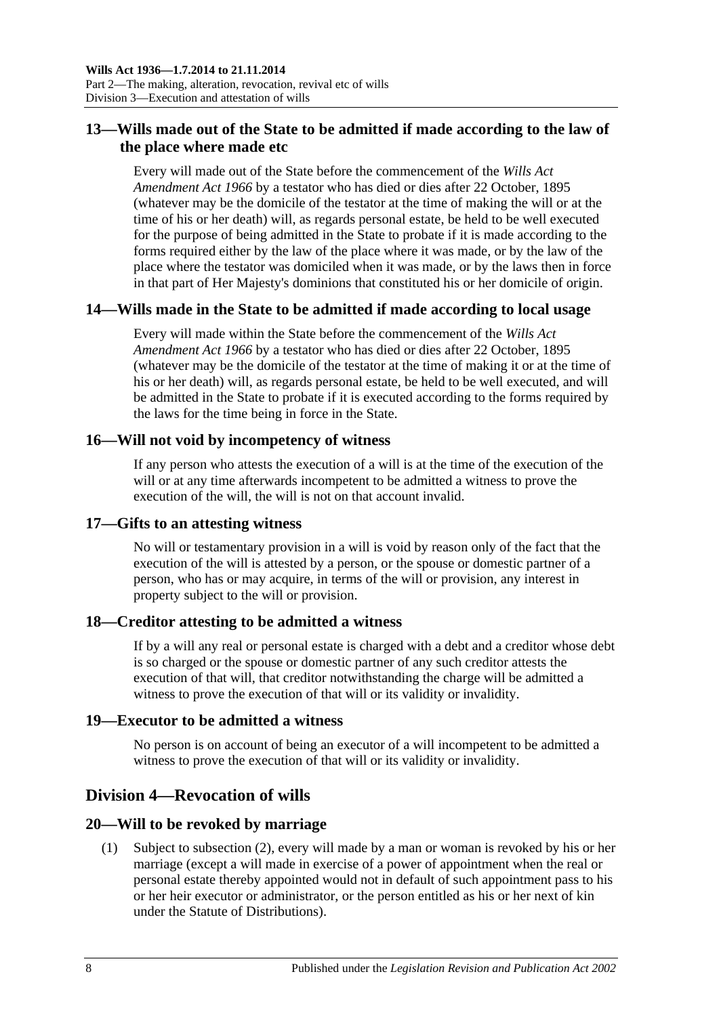# <span id="page-7-0"></span>**13—Wills made out of the State to be admitted if made according to the law of the place where made etc**

Every will made out of the State before the commencement of the *[Wills Act](http://www.legislation.sa.gov.au/index.aspx?action=legref&type=act&legtitle=Wills%20Act%20Amendment%20Act%201966)  [Amendment Act](http://www.legislation.sa.gov.au/index.aspx?action=legref&type=act&legtitle=Wills%20Act%20Amendment%20Act%201966) 1966* by a testator who has died or dies after 22 October, 1895 (whatever may be the domicile of the testator at the time of making the will or at the time of his or her death) will, as regards personal estate, be held to be well executed for the purpose of being admitted in the State to probate if it is made according to the forms required either by the law of the place where it was made, or by the law of the place where the testator was domiciled when it was made, or by the laws then in force in that part of Her Majesty's dominions that constituted his or her domicile of origin.

# <span id="page-7-1"></span>**14—Wills made in the State to be admitted if made according to local usage**

Every will made within the State before the commencement of the *[Wills Act](http://www.legislation.sa.gov.au/index.aspx?action=legref&type=act&legtitle=Wills%20Act%20Amendment%20Act%201966)  [Amendment Act](http://www.legislation.sa.gov.au/index.aspx?action=legref&type=act&legtitle=Wills%20Act%20Amendment%20Act%201966) 1966* by a testator who has died or dies after 22 October, 1895 (whatever may be the domicile of the testator at the time of making it or at the time of his or her death) will, as regards personal estate, be held to be well executed, and will be admitted in the State to probate if it is executed according to the forms required by the laws for the time being in force in the State.

## <span id="page-7-2"></span>**16—Will not void by incompetency of witness**

If any person who attests the execution of a will is at the time of the execution of the will or at any time afterwards incompetent to be admitted a witness to prove the execution of the will, the will is not on that account invalid.

## <span id="page-7-3"></span>**17—Gifts to an attesting witness**

No will or testamentary provision in a will is void by reason only of the fact that the execution of the will is attested by a person, or the spouse or domestic partner of a person, who has or may acquire, in terms of the will or provision, any interest in property subject to the will or provision.

## <span id="page-7-4"></span>**18—Creditor attesting to be admitted a witness**

If by a will any real or personal estate is charged with a debt and a creditor whose debt is so charged or the spouse or domestic partner of any such creditor attests the execution of that will, that creditor notwithstanding the charge will be admitted a witness to prove the execution of that will or its validity or invalidity.

#### <span id="page-7-5"></span>**19—Executor to be admitted a witness**

No person is on account of being an executor of a will incompetent to be admitted a witness to prove the execution of that will or its validity or invalidity.

# <span id="page-7-6"></span>**Division 4—Revocation of wills**

## <span id="page-7-7"></span>**20—Will to be revoked by marriage**

(1) Subject to [subsection](#page-8-1) (2), every will made by a man or woman is revoked by his or her marriage (except a will made in exercise of a power of appointment when the real or personal estate thereby appointed would not in default of such appointment pass to his or her heir executor or administrator, or the person entitled as his or her next of kin under the Statute of Distributions).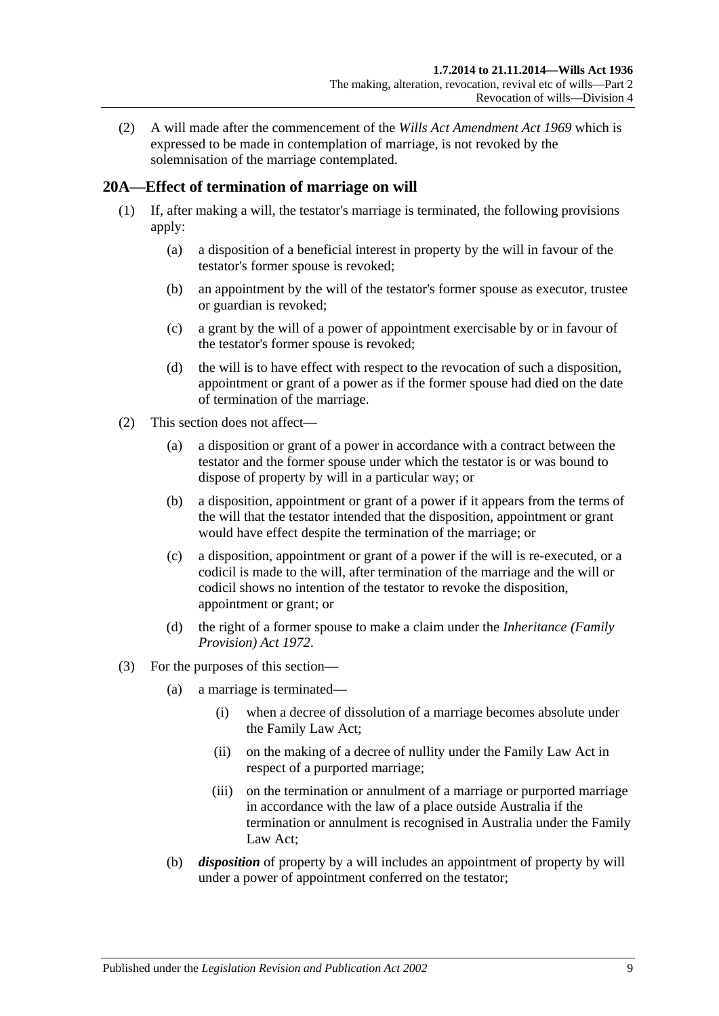<span id="page-8-1"></span>(2) A will made after the commencement of the *[Wills Act Amendment Act](http://www.legislation.sa.gov.au/index.aspx?action=legref&type=act&legtitle=Wills%20Act%20Amendment%20Act%201969) 1969* which is expressed to be made in contemplation of marriage, is not revoked by the solemnisation of the marriage contemplated.

# <span id="page-8-0"></span>**20A—Effect of termination of marriage on will**

- (1) If, after making a will, the testator's marriage is terminated, the following provisions apply:
	- (a) a disposition of a beneficial interest in property by the will in favour of the testator's former spouse is revoked;
	- (b) an appointment by the will of the testator's former spouse as executor, trustee or guardian is revoked;
	- (c) a grant by the will of a power of appointment exercisable by or in favour of the testator's former spouse is revoked;
	- (d) the will is to have effect with respect to the revocation of such a disposition, appointment or grant of a power as if the former spouse had died on the date of termination of the marriage.
- (2) This section does not affect—
	- (a) a disposition or grant of a power in accordance with a contract between the testator and the former spouse under which the testator is or was bound to dispose of property by will in a particular way; or
	- (b) a disposition, appointment or grant of a power if it appears from the terms of the will that the testator intended that the disposition, appointment or grant would have effect despite the termination of the marriage; or
	- (c) a disposition, appointment or grant of a power if the will is re-executed, or a codicil is made to the will, after termination of the marriage and the will or codicil shows no intention of the testator to revoke the disposition, appointment or grant; or
	- (d) the right of a former spouse to make a claim under the *[Inheritance \(Family](http://www.legislation.sa.gov.au/index.aspx?action=legref&type=act&legtitle=Inheritance%20(Family%20Provision)%20Act%201972)  [Provision\) Act](http://www.legislation.sa.gov.au/index.aspx?action=legref&type=act&legtitle=Inheritance%20(Family%20Provision)%20Act%201972) 1972*.
- (3) For the purposes of this section—
	- (a) a marriage is terminated—
		- (i) when a decree of dissolution of a marriage becomes absolute under the Family Law Act;
		- (ii) on the making of a decree of nullity under the Family Law Act in respect of a purported marriage;
		- (iii) on the termination or annulment of a marriage or purported marriage in accordance with the law of a place outside Australia if the termination or annulment is recognised in Australia under the Family Law Act;
	- (b) *disposition* of property by a will includes an appointment of property by will under a power of appointment conferred on the testator;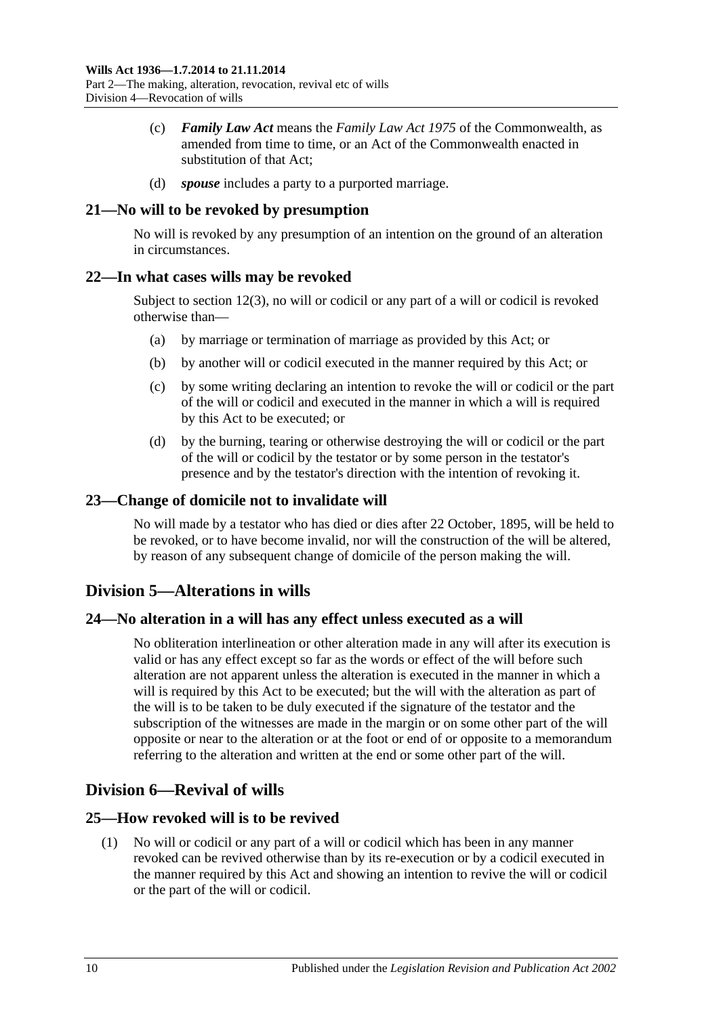- (c) *Family Law Act* means the *Family Law Act 1975* of the Commonwealth, as amended from time to time, or an Act of the Commonwealth enacted in substitution of that Act;
- (d) *spouse* includes a party to a purported marriage.

#### <span id="page-9-0"></span>**21—No will to be revoked by presumption**

No will is revoked by any presumption of an intention on the ground of an alteration in circumstances.

#### <span id="page-9-1"></span>**22—In what cases wills may be revoked**

Subject to [section](#page-6-3) 12(3), no will or codicil or any part of a will or codicil is revoked otherwise than—

- (a) by marriage or termination of marriage as provided by this Act; or
- (b) by another will or codicil executed in the manner required by this Act; or
- (c) by some writing declaring an intention to revoke the will or codicil or the part of the will or codicil and executed in the manner in which a will is required by this Act to be executed; or
- (d) by the burning, tearing or otherwise destroying the will or codicil or the part of the will or codicil by the testator or by some person in the testator's presence and by the testator's direction with the intention of revoking it.

#### <span id="page-9-2"></span>**23—Change of domicile not to invalidate will**

No will made by a testator who has died or dies after 22 October, 1895, will be held to be revoked, or to have become invalid, nor will the construction of the will be altered, by reason of any subsequent change of domicile of the person making the will.

# <span id="page-9-3"></span>**Division 5—Alterations in wills**

## <span id="page-9-4"></span>**24—No alteration in a will has any effect unless executed as a will**

No obliteration interlineation or other alteration made in any will after its execution is valid or has any effect except so far as the words or effect of the will before such alteration are not apparent unless the alteration is executed in the manner in which a will is required by this Act to be executed; but the will with the alteration as part of the will is to be taken to be duly executed if the signature of the testator and the subscription of the witnesses are made in the margin or on some other part of the will opposite or near to the alteration or at the foot or end of or opposite to a memorandum referring to the alteration and written at the end or some other part of the will.

# <span id="page-9-5"></span>**Division 6—Revival of wills**

#### <span id="page-9-6"></span>**25—How revoked will is to be revived**

(1) No will or codicil or any part of a will or codicil which has been in any manner revoked can be revived otherwise than by its re-execution or by a codicil executed in the manner required by this Act and showing an intention to revive the will or codicil or the part of the will or codicil.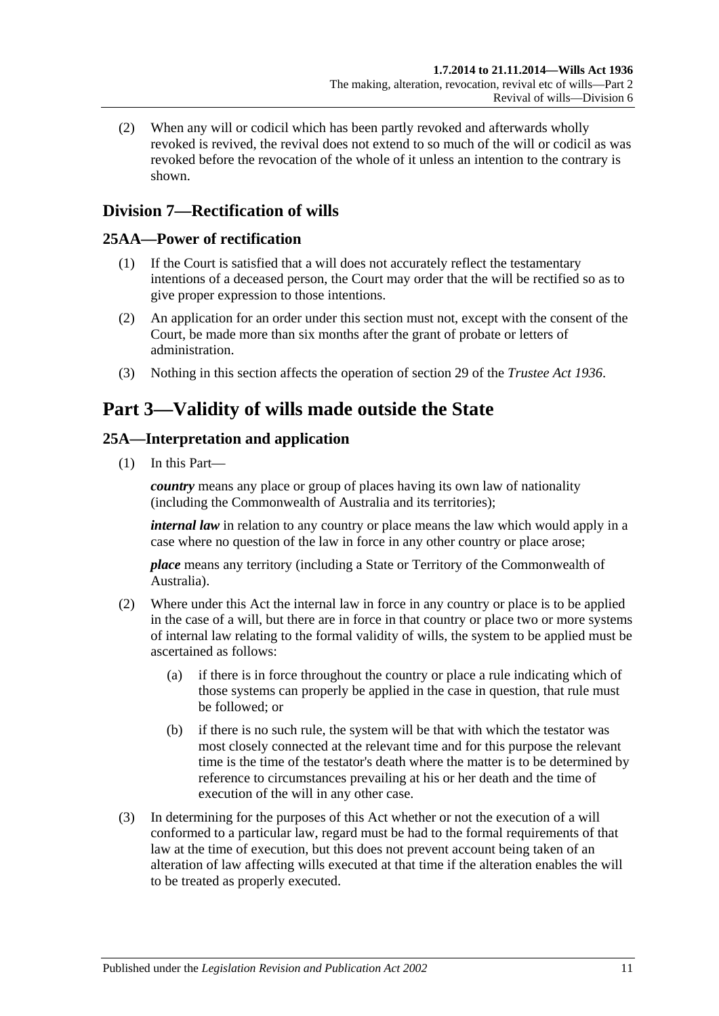(2) When any will or codicil which has been partly revoked and afterwards wholly revoked is revived, the revival does not extend to so much of the will or codicil as was revoked before the revocation of the whole of it unless an intention to the contrary is shown.

# <span id="page-10-0"></span>**Division 7—Rectification of wills**

## <span id="page-10-1"></span>**25AA—Power of rectification**

- (1) If the Court is satisfied that a will does not accurately reflect the testamentary intentions of a deceased person, the Court may order that the will be rectified so as to give proper expression to those intentions.
- (2) An application for an order under this section must not, except with the consent of the Court, be made more than six months after the grant of probate or letters of administration.
- (3) Nothing in this section affects the operation of section 29 of the *[Trustee Act](http://www.legislation.sa.gov.au/index.aspx?action=legref&type=act&legtitle=Trustee%20Act%201936) 1936*.

# <span id="page-10-2"></span>**Part 3—Validity of wills made outside the State**

# <span id="page-10-3"></span>**25A—Interpretation and application**

(1) In this Part—

*country* means any place or group of places having its own law of nationality (including the Commonwealth of Australia and its territories);

*internal law* in relation to any country or place means the law which would apply in a case where no question of the law in force in any other country or place arose;

*place* means any territory (including a State or Territory of the Commonwealth of Australia).

- (2) Where under this Act the internal law in force in any country or place is to be applied in the case of a will, but there are in force in that country or place two or more systems of internal law relating to the formal validity of wills, the system to be applied must be ascertained as follows:
	- (a) if there is in force throughout the country or place a rule indicating which of those systems can properly be applied in the case in question, that rule must be followed; or
	- (b) if there is no such rule, the system will be that with which the testator was most closely connected at the relevant time and for this purpose the relevant time is the time of the testator's death where the matter is to be determined by reference to circumstances prevailing at his or her death and the time of execution of the will in any other case.
- (3) In determining for the purposes of this Act whether or not the execution of a will conformed to a particular law, regard must be had to the formal requirements of that law at the time of execution, but this does not prevent account being taken of an alteration of law affecting wills executed at that time if the alteration enables the will to be treated as properly executed.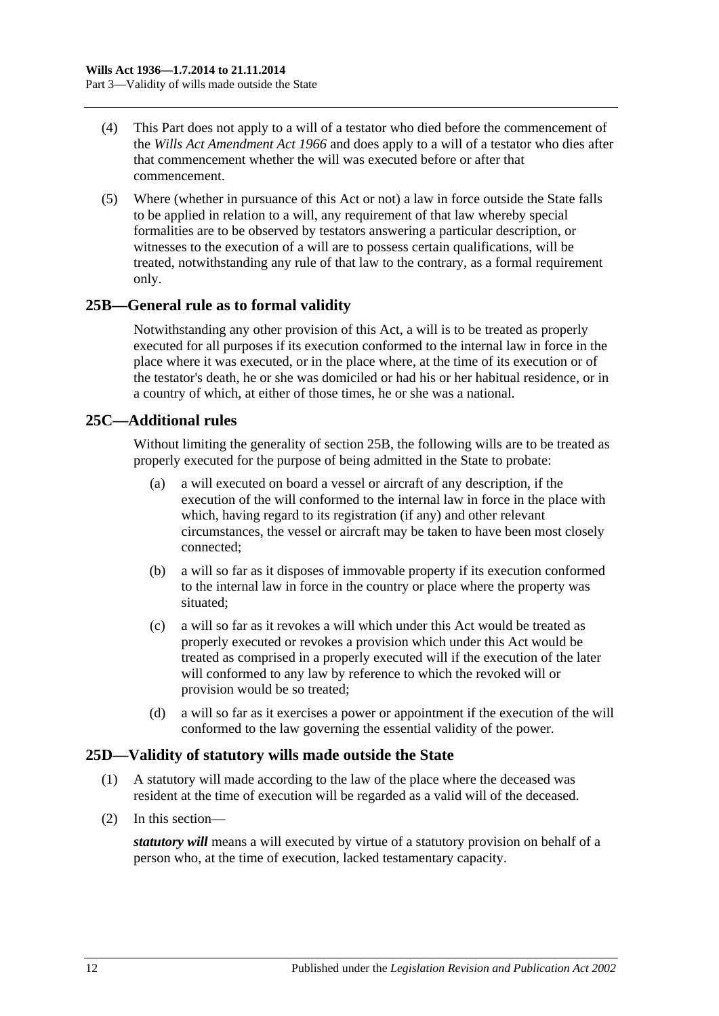- (4) This Part does not apply to a will of a testator who died before the commencement of the *[Wills Act Amendment Act](http://www.legislation.sa.gov.au/index.aspx?action=legref&type=act&legtitle=Wills%20Act%20Amendment%20Act%201966) 1966* and does apply to a will of a testator who dies after that commencement whether the will was executed before or after that commencement.
- (5) Where (whether in pursuance of this Act or not) a law in force outside the State falls to be applied in relation to a will, any requirement of that law whereby special formalities are to be observed by testators answering a particular description, or witnesses to the execution of a will are to possess certain qualifications, will be treated, notwithstanding any rule of that law to the contrary, as a formal requirement only.

# <span id="page-11-0"></span>**25B—General rule as to formal validity**

Notwithstanding any other provision of this Act, a will is to be treated as properly executed for all purposes if its execution conformed to the internal law in force in the place where it was executed, or in the place where, at the time of its execution or of the testator's death, he or she was domiciled or had his or her habitual residence, or in a country of which, at either of those times, he or she was a national.

## <span id="page-11-1"></span>**25C—Additional rules**

Without limiting the generality of [section](#page-11-0) 25B, the following wills are to be treated as properly executed for the purpose of being admitted in the State to probate:

- (a) a will executed on board a vessel or aircraft of any description, if the execution of the will conformed to the internal law in force in the place with which, having regard to its registration (if any) and other relevant circumstances, the vessel or aircraft may be taken to have been most closely connected;
- (b) a will so far as it disposes of immovable property if its execution conformed to the internal law in force in the country or place where the property was situated;
- (c) a will so far as it revokes a will which under this Act would be treated as properly executed or revokes a provision which under this Act would be treated as comprised in a properly executed will if the execution of the later will conformed to any law by reference to which the revoked will or provision would be so treated;
- (d) a will so far as it exercises a power or appointment if the execution of the will conformed to the law governing the essential validity of the power.

## <span id="page-11-2"></span>**25D—Validity of statutory wills made outside the State**

- (1) A statutory will made according to the law of the place where the deceased was resident at the time of execution will be regarded as a valid will of the deceased.
- (2) In this section—

*statutory will* means a will executed by virtue of a statutory provision on behalf of a person who, at the time of execution, lacked testamentary capacity.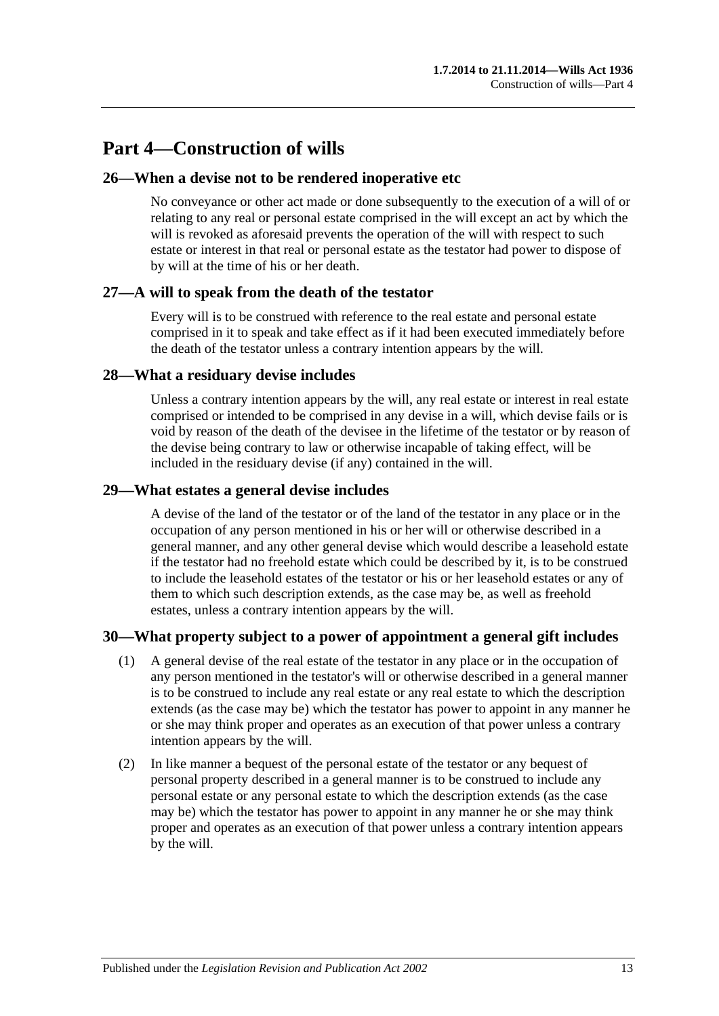# <span id="page-12-0"></span>**Part 4—Construction of wills**

#### <span id="page-12-1"></span>**26—When a devise not to be rendered inoperative etc**

No conveyance or other act made or done subsequently to the execution of a will of or relating to any real or personal estate comprised in the will except an act by which the will is revoked as aforesaid prevents the operation of the will with respect to such estate or interest in that real or personal estate as the testator had power to dispose of by will at the time of his or her death.

#### <span id="page-12-2"></span>**27—A will to speak from the death of the testator**

Every will is to be construed with reference to the real estate and personal estate comprised in it to speak and take effect as if it had been executed immediately before the death of the testator unless a contrary intention appears by the will.

#### <span id="page-12-3"></span>**28—What a residuary devise includes**

Unless a contrary intention appears by the will, any real estate or interest in real estate comprised or intended to be comprised in any devise in a will, which devise fails or is void by reason of the death of the devisee in the lifetime of the testator or by reason of the devise being contrary to law or otherwise incapable of taking effect, will be included in the residuary devise (if any) contained in the will.

#### <span id="page-12-4"></span>**29—What estates a general devise includes**

A devise of the land of the testator or of the land of the testator in any place or in the occupation of any person mentioned in his or her will or otherwise described in a general manner, and any other general devise which would describe a leasehold estate if the testator had no freehold estate which could be described by it, is to be construed to include the leasehold estates of the testator or his or her leasehold estates or any of them to which such description extends, as the case may be, as well as freehold estates, unless a contrary intention appears by the will.

## <span id="page-12-5"></span>**30—What property subject to a power of appointment a general gift includes**

- (1) A general devise of the real estate of the testator in any place or in the occupation of any person mentioned in the testator's will or otherwise described in a general manner is to be construed to include any real estate or any real estate to which the description extends (as the case may be) which the testator has power to appoint in any manner he or she may think proper and operates as an execution of that power unless a contrary intention appears by the will.
- (2) In like manner a bequest of the personal estate of the testator or any bequest of personal property described in a general manner is to be construed to include any personal estate or any personal estate to which the description extends (as the case may be) which the testator has power to appoint in any manner he or she may think proper and operates as an execution of that power unless a contrary intention appears by the will.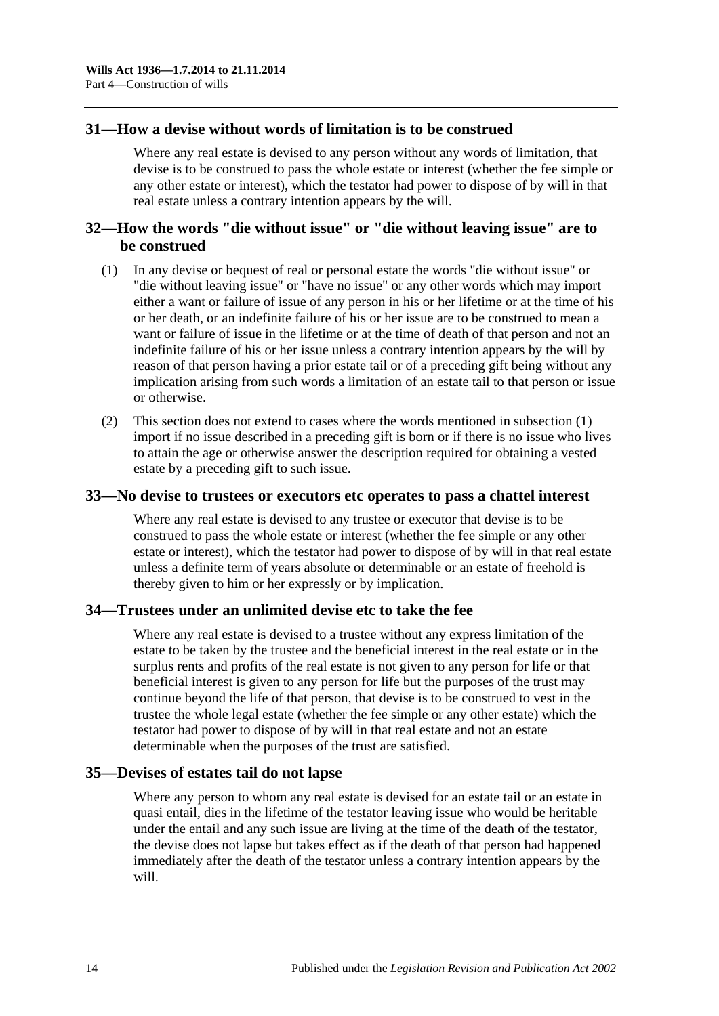#### <span id="page-13-0"></span>**31—How a devise without words of limitation is to be construed**

Where any real estate is devised to any person without any words of limitation, that devise is to be construed to pass the whole estate or interest (whether the fee simple or any other estate or interest), which the testator had power to dispose of by will in that real estate unless a contrary intention appears by the will.

## <span id="page-13-1"></span>**32—How the words "die without issue" or "die without leaving issue" are to be construed**

- <span id="page-13-5"></span>(1) In any devise or bequest of real or personal estate the words "die without issue" or "die without leaving issue" or "have no issue" or any other words which may import either a want or failure of issue of any person in his or her lifetime or at the time of his or her death, or an indefinite failure of his or her issue are to be construed to mean a want or failure of issue in the lifetime or at the time of death of that person and not an indefinite failure of his or her issue unless a contrary intention appears by the will by reason of that person having a prior estate tail or of a preceding gift being without any implication arising from such words a limitation of an estate tail to that person or issue or otherwise.
- (2) This section does not extend to cases where the words mentioned in [subsection](#page-13-5) (1) import if no issue described in a preceding gift is born or if there is no issue who lives to attain the age or otherwise answer the description required for obtaining a vested estate by a preceding gift to such issue.

#### <span id="page-13-2"></span>**33—No devise to trustees or executors etc operates to pass a chattel interest**

Where any real estate is devised to any trustee or executor that devise is to be construed to pass the whole estate or interest (whether the fee simple or any other estate or interest), which the testator had power to dispose of by will in that real estate unless a definite term of years absolute or determinable or an estate of freehold is thereby given to him or her expressly or by implication.

#### <span id="page-13-3"></span>**34—Trustees under an unlimited devise etc to take the fee**

Where any real estate is devised to a trustee without any express limitation of the estate to be taken by the trustee and the beneficial interest in the real estate or in the surplus rents and profits of the real estate is not given to any person for life or that beneficial interest is given to any person for life but the purposes of the trust may continue beyond the life of that person, that devise is to be construed to vest in the trustee the whole legal estate (whether the fee simple or any other estate) which the testator had power to dispose of by will in that real estate and not an estate determinable when the purposes of the trust are satisfied.

#### <span id="page-13-4"></span>**35—Devises of estates tail do not lapse**

Where any person to whom any real estate is devised for an estate tail or an estate in quasi entail, dies in the lifetime of the testator leaving issue who would be heritable under the entail and any such issue are living at the time of the death of the testator, the devise does not lapse but takes effect as if the death of that person had happened immediately after the death of the testator unless a contrary intention appears by the will.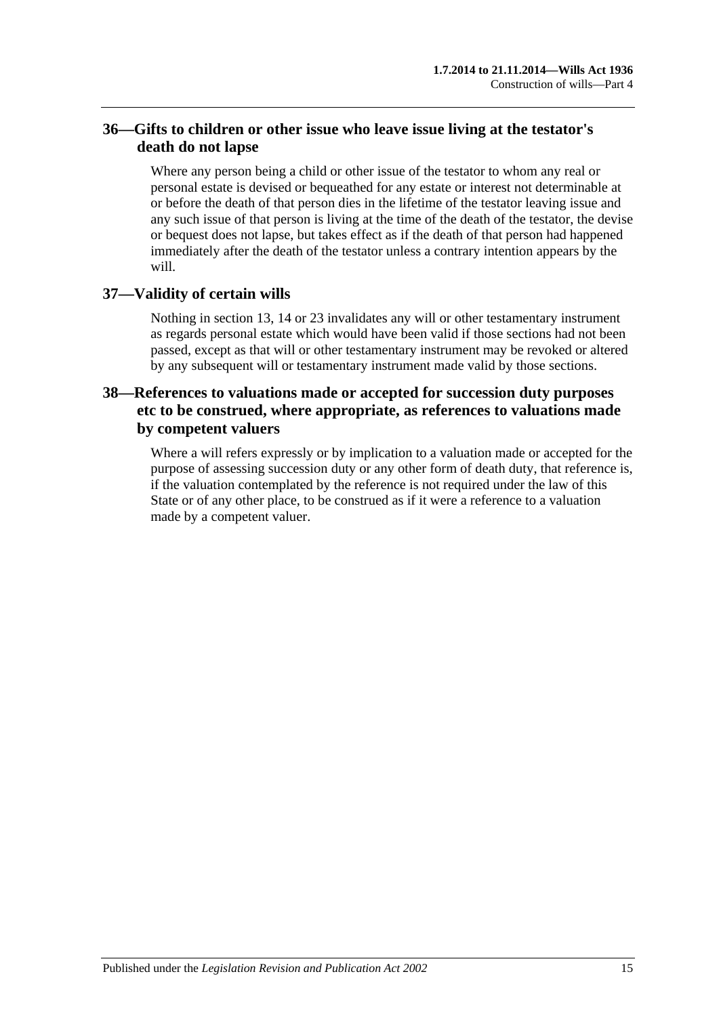# <span id="page-14-0"></span>**36—Gifts to children or other issue who leave issue living at the testator's death do not lapse**

Where any person being a child or other issue of the testator to whom any real or personal estate is devised or bequeathed for any estate or interest not determinable at or before the death of that person dies in the lifetime of the testator leaving issue and any such issue of that person is living at the time of the death of the testator, the devise or bequest does not lapse, but takes effect as if the death of that person had happened immediately after the death of the testator unless a contrary intention appears by the will.

# <span id="page-14-1"></span>**37—Validity of certain wills**

Nothing in [section](#page-7-0) 13, [14](#page-7-1) or [23](#page-9-2) invalidates any will or other testamentary instrument as regards personal estate which would have been valid if those sections had not been passed, except as that will or other testamentary instrument may be revoked or altered by any subsequent will or testamentary instrument made valid by those sections.

# <span id="page-14-2"></span>**38—References to valuations made or accepted for succession duty purposes etc to be construed, where appropriate, as references to valuations made by competent valuers**

Where a will refers expressly or by implication to a valuation made or accepted for the purpose of assessing succession duty or any other form of death duty, that reference is, if the valuation contemplated by the reference is not required under the law of this State or of any other place, to be construed as if it were a reference to a valuation made by a competent valuer.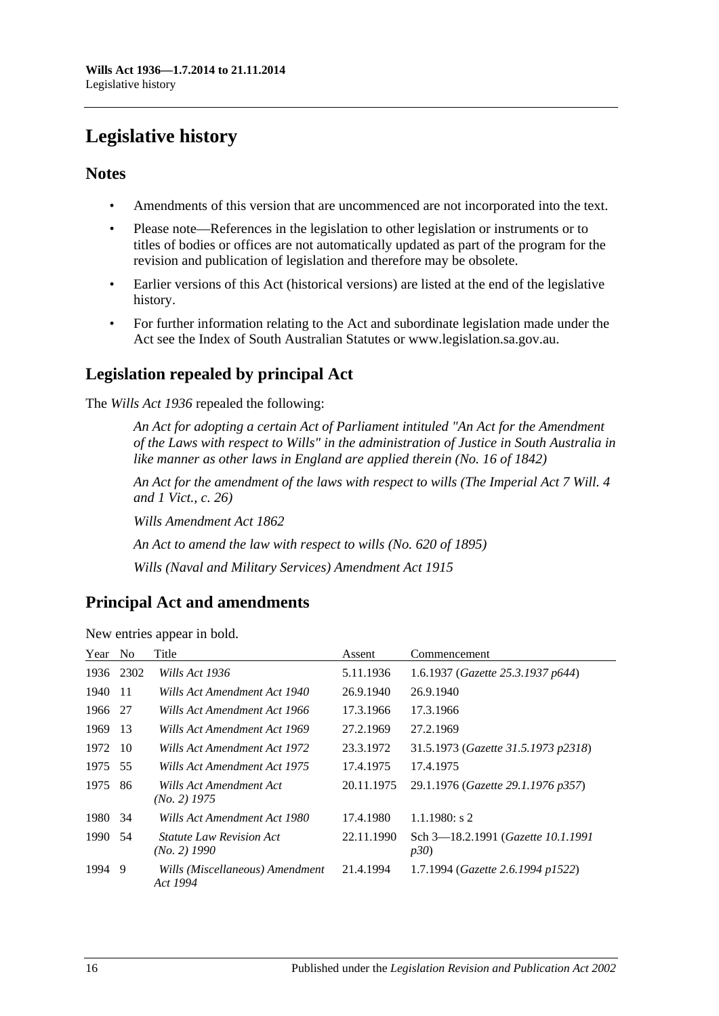# <span id="page-15-0"></span>**Legislative history**

# **Notes**

- Amendments of this version that are uncommenced are not incorporated into the text.
- Please note—References in the legislation to other legislation or instruments or to titles of bodies or offices are not automatically updated as part of the program for the revision and publication of legislation and therefore may be obsolete.
- Earlier versions of this Act (historical versions) are listed at the end of the legislative history.
- For further information relating to the Act and subordinate legislation made under the Act see the Index of South Australian Statutes or www.legislation.sa.gov.au.

# **Legislation repealed by principal Act**

The *Wills Act 1936* repealed the following:

*An Act for adopting a certain Act of Parliament intituled "An Act for the Amendment of the Laws with respect to Wills" in the administration of Justice in South Australia in like manner as other laws in England are applied therein (No. 16 of 1842)*

*An Act for the amendment of the laws with respect to wills (The Imperial Act 7 Will. 4 and 1 Vict., c. 26)*

*Wills Amendment Act 1862*

*An Act to amend the law with respect to wills (No. 620 of 1895)*

*Wills (Naval and Military Services) Amendment Act 1915*

# **Principal Act and amendments**

| New entries appear in bold. |  |  |  |  |  |
|-----------------------------|--|--|--|--|--|
|-----------------------------|--|--|--|--|--|

| Year | N <sub>0</sub> | Title                                             | Assent     | Commencement                               |
|------|----------------|---------------------------------------------------|------------|--------------------------------------------|
| 1936 | 2302           | Wills Act 1936                                    | 5.11.1936  | 1.6.1937 (Gazette 25.3.1937 p644)          |
| 1940 | -11            | Wills Act Amendment Act 1940                      | 26.9.1940  | 26.9.1940                                  |
| 1966 | -27            | Wills Act Amendment Act 1966                      | 17.3.1966  | 17.3.1966                                  |
| 1969 | -13            | Wills Act Amendment Act 1969                      | 27.2.1969  | 27.2.1969                                  |
| 1972 | -10            | Wills Act Amendment Act 1972                      | 23.3.1972  | 31.5.1973 (Gazette 31.5.1973 p2318)        |
| 1975 | 55             | Wills Act Amendment Act 1975                      | 17.4.1975  | 17.4.1975                                  |
| 1975 | 86             | Wills Act Amendment Act<br>$(No. 2)$ 1975         | 20.11.1975 | 29.1.1976 (Gazette 29.1.1976 p357)         |
| 1980 | 34             | Wills Act Amendment Act 1980                      | 17.4.1980  | $1.1.1980$ : s 2                           |
| 1990 | 54             | <i>Statute Law Revision Act</i><br>$(No. 2)$ 1990 | 22.11.1990 | Sch 3-18.2.1991 (Gazette 10.1.1991)<br>p30 |
| 1994 | -9             | Wills (Miscellaneous) Amendment<br>Act 1994       | 21.4.1994  | 1.7.1994 (Gazette 2.6.1994 p1522)          |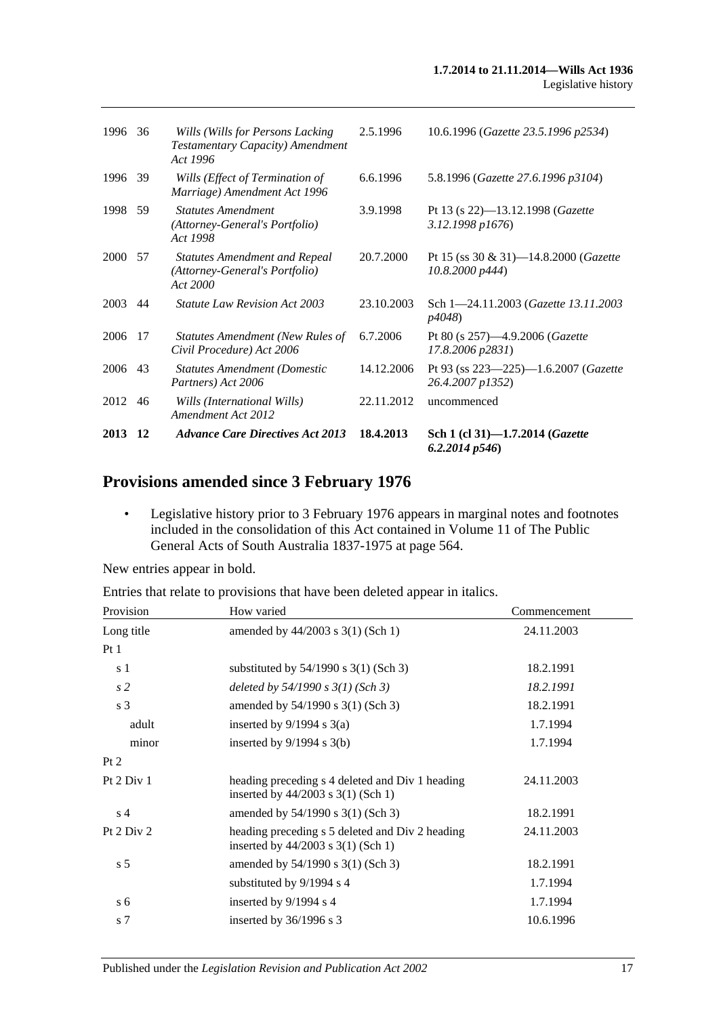| 2013 12 |      | <b>Advance Care Directives Act 2013</b>                                            | 18.4.2013  | Sch 1 (cl 31)-1.7.2014 ( <i>Gazette</i><br>6.2.2014p546                |
|---------|------|------------------------------------------------------------------------------------|------------|------------------------------------------------------------------------|
| 2012    | 46   | Wills (International Wills)<br>Amendment Act 2012                                  | 22.11.2012 | uncommenced                                                            |
| 2006    | 43   | <b>Statutes Amendment (Domestic</b><br>Partners) Act 2006                          | 14.12.2006 | Pt 93 (ss $223 - 225$ ) -1.6.2007 ( <i>Gazette</i><br>26.4.2007 p1352) |
| 2006    | 17   | <b>Statutes Amendment (New Rules of</b><br>Civil Procedure) Act 2006               | 6.7.2006   | Pt 80 (s 257)-4.9.2006 (Gazette<br>17.8.2006 p2831)                    |
| 2003    | 44   | <b>Statute Law Revision Act 2003</b>                                               | 23.10.2003 | Sch 1-24.11.2003 (Gazette 13.11.2003)<br>p4048)                        |
| 2000    | - 57 | <b>Statutes Amendment and Repeal</b><br>(Attorney-General's Portfolio)<br>Act 2000 | 20.7.2000  | Pt 15 (ss 30 & 31)—14.8.2000 ( <i>Gazette</i><br>10.8,2000 p444        |
| 1998 59 |      | <b>Statutes Amendment</b><br>(Attorney-General's Portfolio)<br>Act 1998            | 3.9.1998   | Pt 13 (s $22$ )-13.12.1998 ( <i>Gazette</i><br>3.12.1998 p1676)        |
| 1996 39 |      | Wills (Effect of Termination of<br>Marriage) Amendment Act 1996                    | 6.6.1996   | 5.8.1996 (Gazette 27.6.1996 p3104)                                     |
| 1996    | 36   | Wills (Wills for Persons Lacking<br>Testamentary Capacity) Amendment<br>Act 1996   | 2.5.1996   | 10.6.1996 (Gazette 23.5.1996 p2534)                                    |
|         |      |                                                                                    |            |                                                                        |

# **Provisions amended since 3 February 1976**

• Legislative history prior to 3 February 1976 appears in marginal notes and footnotes included in the consolidation of this Act contained in Volume 11 of The Public General Acts of South Australia 1837-1975 at page 564.

New entries appear in bold.

Entries that relate to provisions that have been deleted appear in italics.

| Provision      | How varied                                                                                | Commencement |
|----------------|-------------------------------------------------------------------------------------------|--------------|
| Long title     | amended by $44/2003$ s 3(1) (Sch 1)                                                       | 24.11.2003   |
| Pt1            |                                                                                           |              |
| s 1            | substituted by $54/1990$ s $3(1)$ (Sch 3)                                                 | 18.2.1991    |
| s <sub>2</sub> | deleted by $54/1990$ s $3(1)$ (Sch 3)                                                     | 18.2.1991    |
| s <sub>3</sub> | amended by 54/1990 s 3(1) (Sch 3)                                                         | 18.2.1991    |
| adult          | inserted by $9/1994$ s $3(a)$                                                             | 1.7.1994     |
| minor          | inserted by $9/1994$ s $3(b)$                                                             | 1.7.1994     |
| Pt 2           |                                                                                           |              |
| Pt 2 Div 1     | heading preceding s 4 deleted and Div 1 heading<br>inserted by $44/2003$ s 3(1) (Sch 1)   | 24.11.2003   |
| s <sub>4</sub> | amended by 54/1990 s 3(1) (Sch 3)                                                         | 18.2.1991    |
| Pt $2$ Div $2$ | heading preceding s 5 deleted and Div 2 heading<br>inserted by $44/2003$ s $3(1)$ (Sch 1) | 24.11.2003   |
| s <sub>5</sub> | amended by 54/1990 s 3(1) (Sch 3)                                                         | 18.2.1991    |
|                | substituted by 9/1994 s 4                                                                 | 1.7.1994     |
| s <sub>6</sub> | inserted by 9/1994 s 4                                                                    | 1.7.1994     |
| s 7            | inserted by $36/1996$ s 3                                                                 | 10.6.1996    |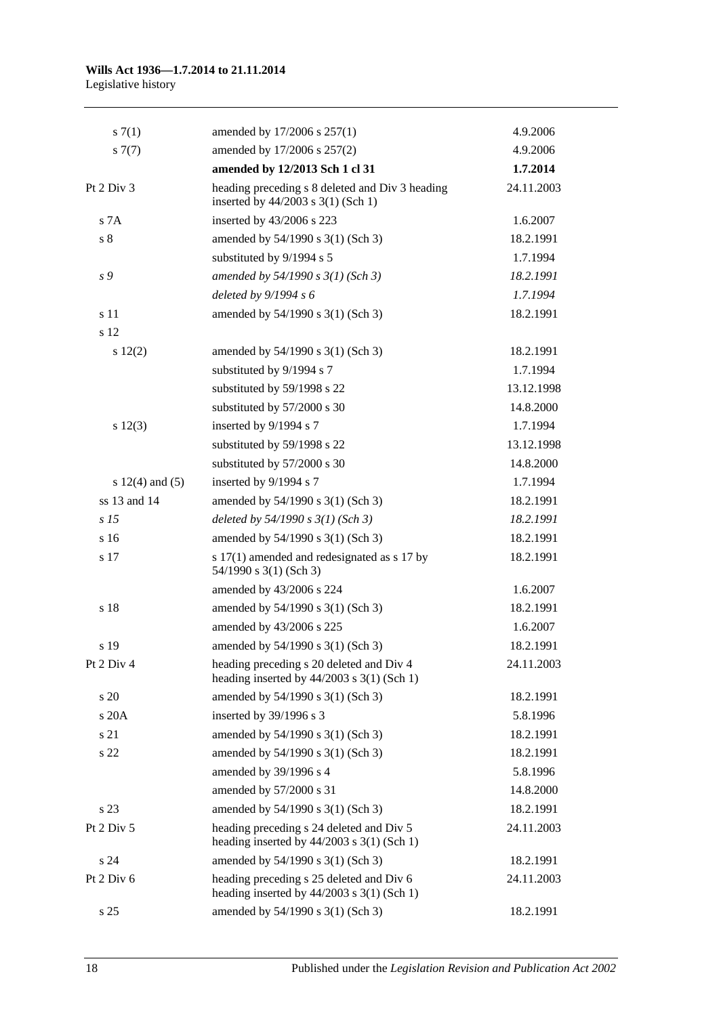#### **Wills Act 1936—1.7.2014 to 21.11.2014** Legislative history

| s(7(1)              | amended by 17/2006 s 257(1)                                                              | 4.9.2006   |
|---------------------|------------------------------------------------------------------------------------------|------------|
| $s \, 7(7)$         | amended by 17/2006 s 257(2)                                                              | 4.9.2006   |
|                     | amended by 12/2013 Sch 1 cl 31                                                           | 1.7.2014   |
| Pt 2 Div 3          | heading preceding s 8 deleted and Div 3 heading<br>inserted by 44/2003 s 3(1) (Sch 1)    | 24.11.2003 |
| s 7A                | inserted by 43/2006 s 223                                                                | 1.6.2007   |
| $\sqrt{s}$ 8        | amended by 54/1990 s 3(1) (Sch 3)                                                        | 18.2.1991  |
|                     | substituted by 9/1994 s 5                                                                | 1.7.1994   |
| s 9                 | amended by 54/1990 s 3(1) (Sch 3)                                                        | 18.2.1991  |
|                     | deleted by 9/1994 s 6                                                                    | 1.7.1994   |
| s 11                | amended by 54/1990 s 3(1) (Sch 3)                                                        | 18.2.1991  |
| s 12                |                                                                                          |            |
| 12(2)               | amended by 54/1990 s 3(1) (Sch 3)                                                        | 18.2.1991  |
|                     | substituted by 9/1994 s 7                                                                | 1.7.1994   |
|                     | substituted by 59/1998 s 22                                                              | 13.12.1998 |
|                     | substituted by 57/2000 s 30                                                              | 14.8.2000  |
| s 12(3)             | inserted by 9/1994 s 7                                                                   | 1.7.1994   |
|                     | substituted by 59/1998 s 22                                                              | 13.12.1998 |
|                     | substituted by 57/2000 s 30                                                              | 14.8.2000  |
| s $12(4)$ and $(5)$ | inserted by 9/1994 s 7                                                                   | 1.7.1994   |
| ss 13 and 14        | amended by 54/1990 s 3(1) (Sch 3)                                                        | 18.2.1991  |
| s <sub>15</sub>     | deleted by $54/1990 s 3(1)$ (Sch 3)                                                      | 18.2.1991  |
| s 16                | amended by 54/1990 s 3(1) (Sch 3)                                                        | 18.2.1991  |
| s 17                | s 17(1) amended and redesignated as s 17 by<br>54/1990 s 3(1) (Sch 3)                    | 18.2.1991  |
|                     | amended by 43/2006 s 224                                                                 | 1.6.2007   |
| s 18                | amended by 54/1990 s 3(1) (Sch 3)                                                        | 18.2.1991  |
|                     | amended by 43/2006 s 225                                                                 | 1.6.2007   |
| s 19                | amended by 54/1990 s 3(1) (Sch 3)                                                        | 18.2.1991  |
| Pt 2 Div 4          | heading preceding s 20 deleted and Div 4<br>heading inserted by $44/2003$ s 3(1) (Sch 1) | 24.11.2003 |
| s 20                | amended by 54/1990 s 3(1) (Sch 3)                                                        | 18.2.1991  |
| s20A                | inserted by 39/1996 s 3                                                                  | 5.8.1996   |
| s 21                | amended by 54/1990 s 3(1) (Sch 3)                                                        | 18.2.1991  |
| s 22                | amended by 54/1990 s 3(1) (Sch 3)                                                        | 18.2.1991  |
|                     | amended by 39/1996 s 4                                                                   | 5.8.1996   |
|                     | amended by 57/2000 s 31                                                                  | 14.8.2000  |
| s 23                | amended by 54/1990 s 3(1) (Sch 3)                                                        | 18.2.1991  |
| Pt 2 Div 5          | heading preceding s 24 deleted and Div 5<br>heading inserted by $44/2003$ s 3(1) (Sch 1) | 24.11.2003 |
| s24                 | amended by 54/1990 s 3(1) (Sch 3)                                                        | 18.2.1991  |
| Pt 2 Div 6          | heading preceding s 25 deleted and Div 6<br>heading inserted by $44/2003$ s 3(1) (Sch 1) | 24.11.2003 |
| s 25                | amended by 54/1990 s 3(1) (Sch 3)                                                        | 18.2.1991  |